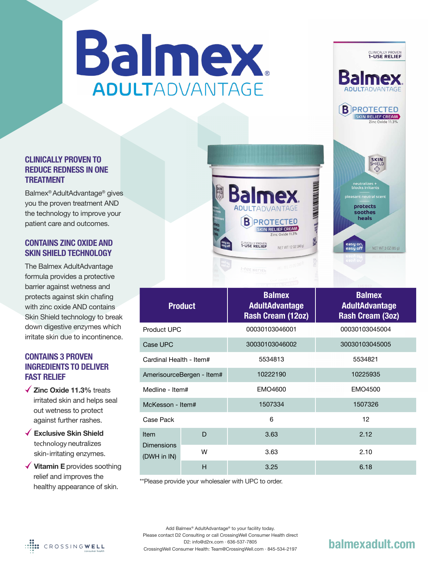# Balmex. ADULTADVANTAGE

## **CLINICALLY PROVEN TO REDUCE REDNESS IN ONE TREATMENT**

Balmex® AdultAdvantage® gives you the proven treatment AND the technology to improve your patient care and outcomes.

### **CONTAINS ZINC OXIDE AND SKIN SHIELD TECHNOLOGY**

The Balmex AdultAdvantage formula provides a protective barrier against wetness and protects against skin chafing with zinc oxide AND contains Skin Shield technology to break down digestive enzymes which irritate skin due to incontinence.

## **CONTAINS 3 PROVEN INGREDIENTS TO DELIVER FAST RELIEF**

- **Zinc Oxide 11.3%** treats irritated skin and helps seal out wetness to protect against further rashes.
- **Exclusive Skin Shield**  technology neutralizes skin-irritating enzymes.
- **Vitamin E** provides soothing relief and improves the healthy appearance of skin.





\*\*Please provide your wholesaler with UPC to order.



Add Balmex® AdultAdvantage® to your facility today. Please contact D2 Consulting or call CrossingWell Consumer Health direct D2: info@d2rx.com · 636-537-7805 CrossingWell Consumer Health: Team@CrossingWell.com · 845-534-2197

# **balmexadult.com**

CLINICALLY PROVEN

**B** PROTECTED SKIN RELIEF CREAM

> **SKIN**<br>SHIELD \$

> > NET WT 3 0Z (85 g)